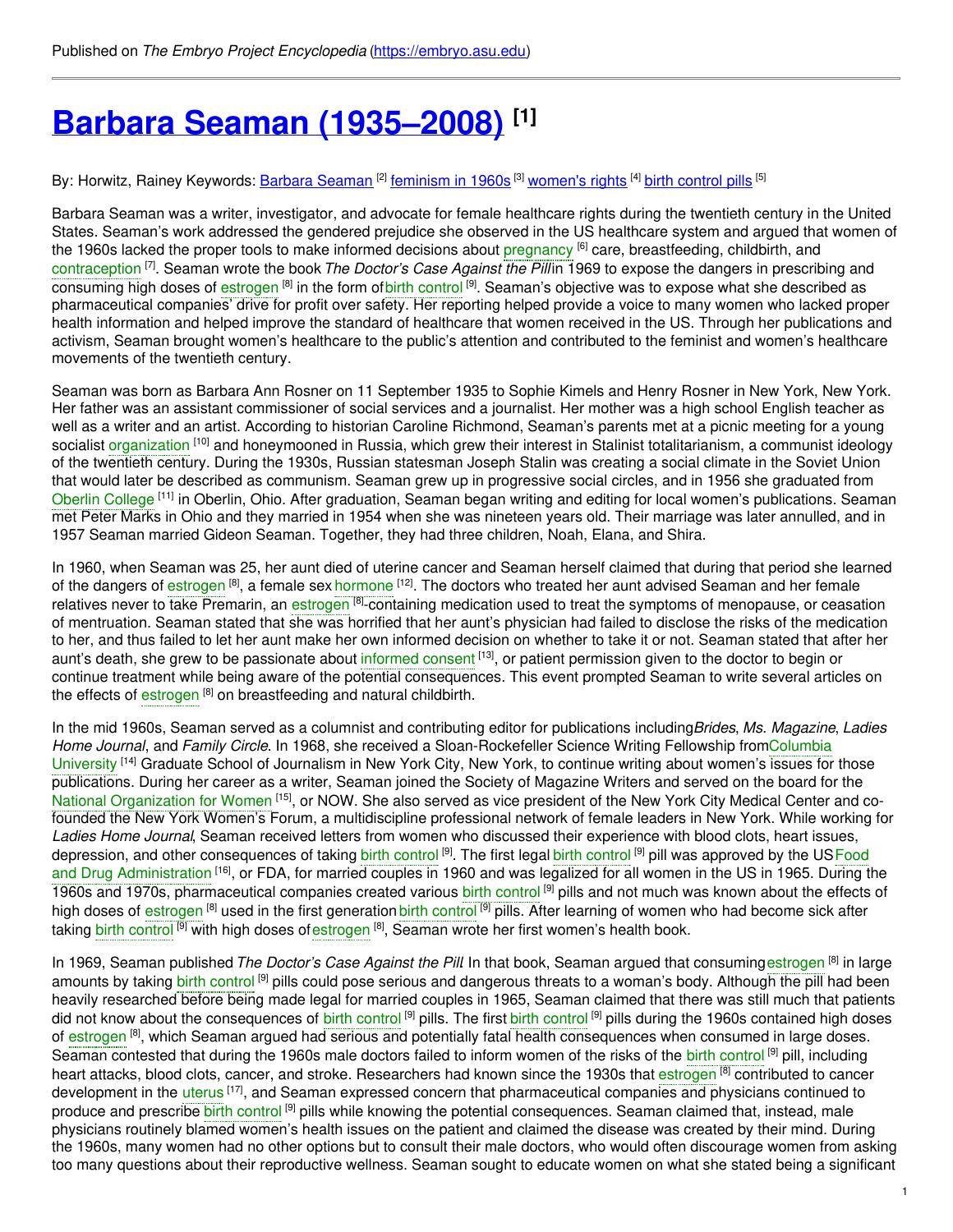# **Barbara Seaman [\(1935–2008\)](https://embryo.asu.edu/pages/barbara-seaman-1935-2008) [1]**

By: Horwitz, Rainey Keywords: <u>Barbara [Seaman](https://embryo.asu.edu/keywords/barbara-seaman) [2] [feminism](https://embryo.asu.edu/keywords/feminism-1960s) in 1960s</u> [3] <u>[women's](https://embryo.asu.edu/keywords/womens-rights) rights</u> [4] <u>birth [control](https://embryo.asu.edu/keywords/birth-control-pills) pills</u> [5]

Barbara Seaman was a writer, investigator, and advocate for female healthcare rights during the twentieth century in the United States. Seaman's work addressed the gendered prejudice she observed in the US healthcare system and argued that women of the 1960s lacked the proper tools to make informed decisions about [pregnancy](https://embryo.asu.edu/search?text=pregnancy) <sup>[6]</sup> care, breastfeeding, childbirth, and [contraception](https://embryo.asu.edu/search?text=contraception) [7] . Seaman wrote the book*The Doctor's Case Against the Pill* in 1969 to expose the dangers in prescribing and consuming high doses of [estrogen](https://embryo.asu.edu/search?text=estrogen) <sup>[8]</sup> in the form ofbirth [control](https://embryo.asu.edu/search?text=birth%20control) <sup>[9]</sup>. Seaman's objective was to expose what she described as pharmaceutical companies' drive for profit over safety. Her reporting helped provide a voice to many women who lacked proper health information and helped improve the standard of healthcare that women received in the US. Through her publications and activism, Seaman brought women's healthcare to the public's attention and contributed to the feminist and women's healthcare movements of the twentieth century.

Seaman was born as Barbara Ann Rosner on 11 September 1935 to Sophie Kimels and Henry Rosner in New York, New York. Her father was an assistant commissioner of social services and a journalist. Her mother was a high school English teacher as well as a writer and an artist. According to historian Caroline Richmond, Seaman's parents met at a picnic meeting for a young socialist [organization](https://embryo.asu.edu/search?text=organization) <sup>[10]</sup> and honeymooned in Russia, which grew their interest in Stalinist totalitarianism, a communist ideology of the twentieth century. During the 1930s, Russian statesman Joseph Stalin was creating a social climate in the Soviet Union that would later be described as communism. Seaman grew up in progressive social circles, and in 1956 she graduated from Oberlin [College](https://embryo.asu.edu/search?text=Oberlin%20College) <sup>[11]</sup> in Oberlin, Ohio. After graduation, Seaman began writing and editing for local women's publications. Seaman met Peter Marks in Ohio and they married in 1954 when she was nineteen years old. Their marriage was later annulled, and in 1957 Seaman married Gideon Seaman. Together, they had three children, Noah, Elana, and Shira.

In 1960, when Seaman was 25, her aunt died of uterine cancer and Seaman herself claimed that during that period she learned of the dangers of [estrogen](https://embryo.asu.edu/search?text=estrogen) <sup>[8]</sup>, a female sex [hormone](https://embryo.asu.edu/search?text=hormone) <sup>[12]</sup>. The doctors who treated her aunt advised Seaman and her female relatives never to take Premarin, an [estrogen](https://embryo.asu.edu/search?text=estrogen) <sup>[8]</sup>-containing medication used to treat the symptoms of menopause, or ceasation of mentruation. Seaman stated that she was horrified that her aunt's physician had failed to disclose the risks of the medication to her, and thus failed to let her aunt make her own informed decision on whether to take it or not. Seaman stated that after her aunt's death, she grew to be passionate about [informed](https://embryo.asu.edu/search?text=informed%20consent) consent <sup>[13]</sup>, or patient permission given to the doctor to begin or continue treatment while being aware of the potential consequences. This event prompted Seaman to write several articles on the effects of [estrogen](https://embryo.asu.edu/search?text=estrogen) <sup>[8]</sup> on breastfeeding and natural childbirth.

In the mid 1960s, Seaman served as a columnist and contributing editor for publications including*Brides*, *Ms. Magazine*, *Ladies Home Journal*, and *Family Circle*. In 1968, she received a [Sloan-Rockefeller](https://embryo.asu.edu/search?text=Columbia%20University) Science Writing Fellowship fromColumbia University <sup>[14]</sup> Graduate School of Journalism in New York City, New York, to continue writing about women's issues for those publications. During her career as a writer, Seaman joined the Society of Magazine Writers and served on the board for the National [Organization](https://embryo.asu.edu/search?text=National%20Organization%20for%20Women) for Women <sup>[15]</sup>, or NOW. She also served as vice president of the New York City Medical Center and cofounded the New York Women's Forum, a multidiscipline professional network of female leaders in New York. While working for *Ladies Home Journal*, Seaman received letters from women who discussed their experience with blood clots, heart issues, depression, and other [consequences](https://embryo.asu.edu/search?text=Food%20and%20Drug%20Administration) of taking birth [control](https://embryo.asu.edu/search?text=birth%20control) <sup>[9]</sup>. The first legal birth control <sup>[9]</sup> pill was approved by the USFood and Drug Administration <sup>[16]</sup>, or FDA, for married couples in 1960 and was legalized for all women in the US in 1965. During the 1960s and 1970s, pharmaceutical companies created various birth [control](https://embryo.asu.edu/search?text=birth%20control)<sup>[9]</sup> pills and not much was known about the effects of high doses of [estrogen](https://embryo.asu.edu/search?text=estrogen) <sup>[8]</sup> used in the first generation birth [control](https://embryo.asu.edu/search?text=birth%20control) <sup>[9]</sup> pills. After learning of women who had become sick after taking b<mark>irth [control](https://embryo.asu.edu/search?text=birth%20control) <sup>[9]</sup> with high doses of[estrogen](https://embryo.asu.edu/search?text=estrogen) <sup>[8]</sup>, Seaman wrote her first women's health book.</mark>

In 1969, Seaman published *The Doctor's Case Against the Pill*. In that book, Seaman argued that consuming[estrogen](https://embryo.asu.edu/search?text=estrogen) [8] in large amounts by taking birth [control](https://embryo.asu.edu/search?text=birth%20control) <sup>[9]</sup> pills could pose serious and dangerous threats to a woman's body. Although the pill had been heavily researched before being made legal for married couples in 1965, Seaman claimed that there was still much that patients did not know about the consequences of birth [control](https://embryo.asu.edu/search?text=birth%20control) <sup>[9]</sup> pills. The first birth control <sup>[9]</sup> pills during the 1960s contained high doses of [estrogen](https://embryo.asu.edu/search?text=estrogen) <sup>[8]</sup>, which Seaman argued had serious and potentially fatal health consequences when consumed in large doses. Seaman contested that during the 1960s male doctors failed to inform women of the risks of the birth [control](https://embryo.asu.edu/search?text=birth%20control) <sup>[9]</sup> pill, including heart attacks, blood clots, cancer, and stroke. Researchers had known since the 1930s that [estrogen](https://embryo.asu.edu/search?text=estrogen) <sup>[8]</sup> contributed to cancer development in the [uterus](https://embryo.asu.edu/search?text=uterus) <sup>[17]</sup>, and Seaman expressed concern that pharmaceutical companies and physicians continued to produce and prescribe birth [control](https://embryo.asu.edu/search?text=birth%20control) <sup>[9]</sup> pills while knowing the potential consequences. Seaman claimed that, instead, male physicians routinely blamed women's health issues on the patient and claimed the disease was created by their mind. During the 1960s, many women had no other options but to consult their male doctors, who would often discourage women from asking too many questions about their reproductive wellness. Seaman sought to educate women on what she stated being a significant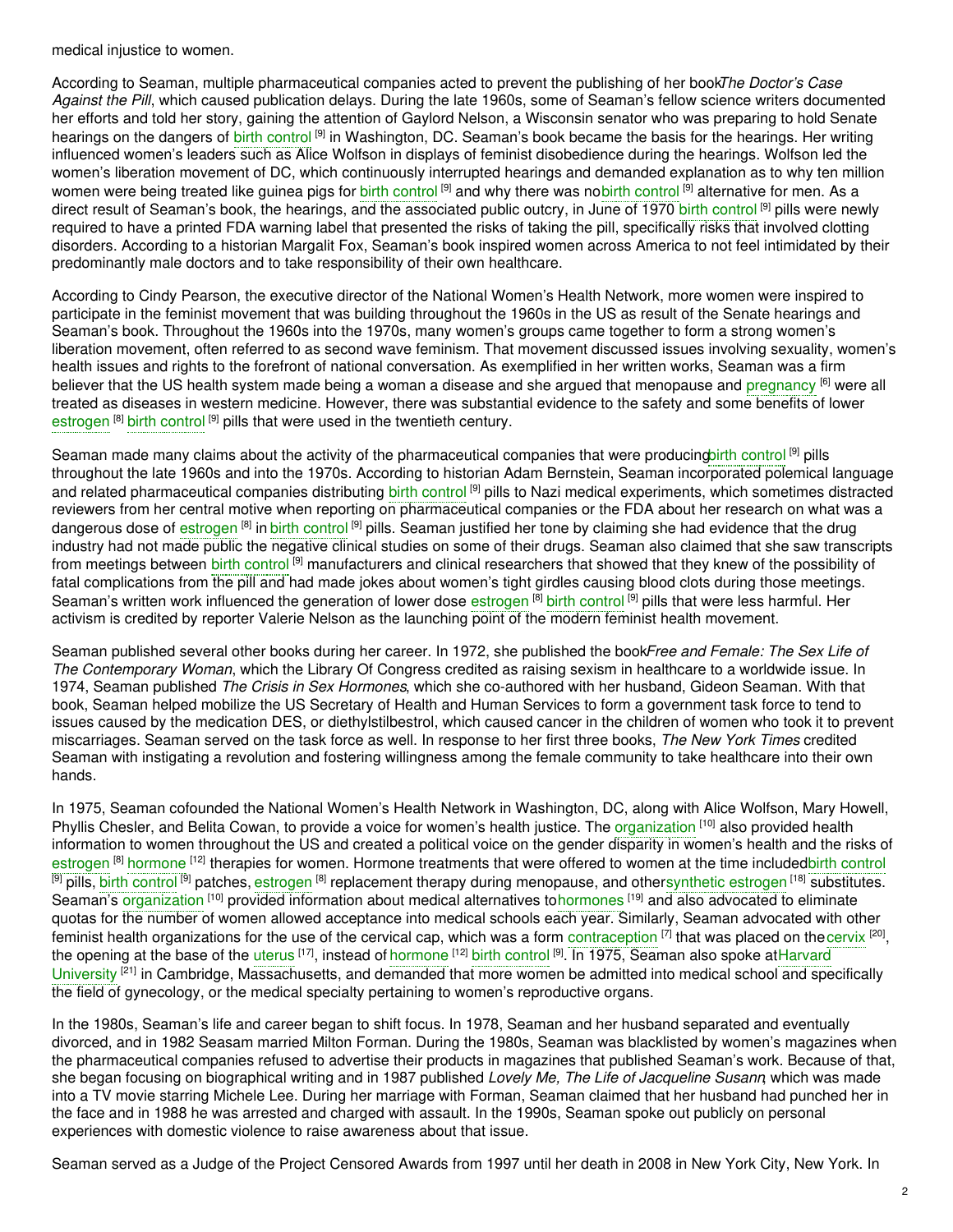medical injustice to women.

According to Seaman, multiple pharmaceutical companies acted to prevent the publishing of her book*The Doctor's Case Against the Pill*, which caused publication delays. During the late 1960s, some of Seaman's fellow science writers documented her efforts and told her story, gaining the attention of Gaylord Nelson, a Wisconsin senator who was preparing to hold Senate hearings on the dangers of birth [control](https://embryo.asu.edu/search?text=birth%20control) <sup>[9]</sup> in Washington, DC. Seaman's book became the basis for the hearings. Her writing influenced women's leaders such as Alice Wolfson in displays of feminist disobedience during the hearings. Wolfson led the women's liberation movement of DC, which continuously interrupted hearings and demanded explanation as to why ten million women were being treated like guinea pigs for birth [control](https://embryo.asu.edu/search?text=birth%20control) <sup>[9]</sup> and why there was nob<mark>irth control <sup>[9]</sup> alternative for men. As a</mark> direct result of Seaman's book, the hearings, and the associated public outcry, in June of 1970 birth [control](https://embryo.asu.edu/search?text=birth%20control) <sup>[9]</sup> pills were newly required to have a printed FDA warning label that presented the risks of taking the pill, specifically risks that involved clotting disorders. According to a historian Margalit Fox, Seaman's book inspired women across America to not feel intimidated by their predominantly male doctors and to take responsibility of their own healthcare.

According to Cindy Pearson, the executive director of the National Women's Health Network, more women were inspired to participate in the feminist movement that was building throughout the 1960s in the US as result of the Senate hearings and Seaman's book. Throughout the 1960s into the 1970s, many women's groups came together to form a strong women's liberation movement, often referred to as second wave feminism. That movement discussed issues involving sexuality, women's health issues and rights to the forefront of national conversation. As exemplified in her written works, Seaman was a firm believer that the US health system made being a woman a disease and she argued that menopause and [pregnancy](https://embryo.asu.edu/search?text=pregnancy) <sup>[6]</sup> were all treated as diseases in western medicine. However, there was substantial evidence to the safety and some benefits of lower [estrogen](https://embryo.asu.edu/search?text=estrogen) <sup>[8]</sup> birth [control](https://embryo.asu.edu/search?text=birth%20control)<sup>[9]</sup> pills that were used in the twentieth century.

Seaman made many claims about the activity of the pharmaceutical companies that were producingbirth [control](https://embryo.asu.edu/search?text=birth%20control)<sup>[9]</sup> pills throughout the late 1960s and into the 1970s. According to historian Adam Bernstein, Seaman incorporated polemical language and related pharmaceutical companies distributing birth [control](https://embryo.asu.edu/search?text=birth%20control) <sup>[9]</sup> pills to Nazi medical experiments, which sometimes distracted reviewers from her central motive when reporting on pharmaceutical companies or the FDA about her research on what was a dangerous dose of [estrogen](https://embryo.asu.edu/search?text=estrogen) <sup>[8]</sup> in birth [control](https://embryo.asu.edu/search?text=birth%20control) <sup>[9]</sup> pills. Seaman justified her tone by claiming she had evidence that the drug industry had not made public the negative clinical studies on some of their drugs. Seaman also claimed that she saw transcripts from meetings between birth [control](https://embryo.asu.edu/search?text=birth%20control) <sup>[9]</sup> manufacturers and clinical researchers that showed that they knew of the possibility of fatal complications from the pill and had made jokes about women's tight girdles causing blood clots during those meetings. Seaman's written work influenced the generation of lower dose [estrogen](https://embryo.asu.edu/search?text=estrogen) <sup>[8]</sup> birth [control](https://embryo.asu.edu/search?text=birth%20control) <sup>[9]</sup> pills that were less harmful. Her activism is credited by reporter Valerie Nelson as the launching point of the modern feminist health movement.

Seaman published several other books during her career. In 1972, she published the book*Free and Female: The Sex Life of The Contemporary Woman*, which the Library Of Congress credited as raising sexism in healthcare to a worldwide issue. In 1974, Seaman published *The Crisis in Sex Hormones*, which she co-authored with her husband, Gideon Seaman. With that book, Seaman helped mobilize the US Secretary of Health and Human Services to form a government task force to tend to issues caused by the medication DES, or diethylstilbestrol, which caused cancer in the children of women who took it to prevent miscarriages. Seaman served on the task force as well. In response to her first three books, *The New York Times* credited Seaman with instigating a revolution and fostering willingness among the female community to take healthcare into their own hands.

In 1975, Seaman cofounded the National Women's Health Network in Washington, DC, along with Alice Wolfson, Mary Howell, Phyllis Chesler, and Belita Cowan, to provide a voice for women's health justice. The [organization](https://embryo.asu.edu/search?text=organization) <sup>[10]</sup> also provided health information to women throughout the US and created a political voice on the gender disparity in women's health and the risks of [estrogen](https://embryo.asu.edu/search?text=estrogen) <sup>[8]</sup> [hormone](https://embryo.asu.edu/search?text=hormone) <sup>[12]</sup> therapies for women. Hormone treatments that were offered to women at the time includedbirth [control](https://embryo.asu.edu/search?text=birth%20control) <sup>[9]</sup> pills, birth [control](https://embryo.asu.edu/search?text=birth%20control) <sup>[9]</sup> patches, [estrogen](https://embryo.asu.edu/search?text=estrogen) <sup>[8]</sup> replacement therapy during menopause, and other[synthetic](https://embryo.asu.edu/search?text=synthetic%20estrogen) estrogen <sup>[18]</sup> substitutes. Seaman's [organization](https://embryo.asu.edu/search?text=organization) <sup>[10]</sup> provided information about medical alternatives to[hormones](https://embryo.asu.edu/search?text=hormones) <sup>[19]</sup> and also advocated to eliminate quotas for the number of women allowed acceptance into medical schools each year. Similarly, Seaman advocated with other feminist health organizations for the use of the cervical cap, which was a form [contraception](https://embryo.asu.edu/search?text=contraception) [7] that was placed on the[cervix](https://embryo.asu.edu/search?text=cervix) <sup>[20]</sup>, the opening at the base of the [uterus](https://embryo.asu.edu/search?text=uterus) <sup>[17]</sup>, instead of [hormone](https://embryo.asu.edu/search?text=hormone) <sup>[12]</sup> birth [control](https://embryo.asu.edu/search?text=birth%20control) <sup>[9]</sup>. In 1975, Seaman also spoke atHarvard University <sup>[21]</sup> in Cambridge, [Massachusetts,](https://embryo.asu.edu/search?text=Harvard%20University) and demanded that more women be admitted into medical school and specifically the field of gynecology, or the medical specialty pertaining to women's reproductive organs.

In the 1980s, Seaman's life and career began to shift focus. In 1978, Seaman and her husband separated and eventually divorced, and in 1982 Seasam married Milton Forman. During the 1980s, Seaman was blacklisted by women's magazines when the pharmaceutical companies refused to advertise their products in magazines that published Seaman's work. Because of that, she began focusing on biographical writing and in 1987 published *Lovely Me, The Life of Jacqueline Susann*, which was made into a TV movie starring Michele Lee. During her marriage with Forman, Seaman claimed that her husband had punched her in the face and in 1988 he was arrested and charged with assault. In the 1990s, Seaman spoke out publicly on personal experiences with domestic violence to raise awareness about that issue.

Seaman served as a Judge of the Project Censored Awards from 1997 until her death in 2008 in New York City, New York. In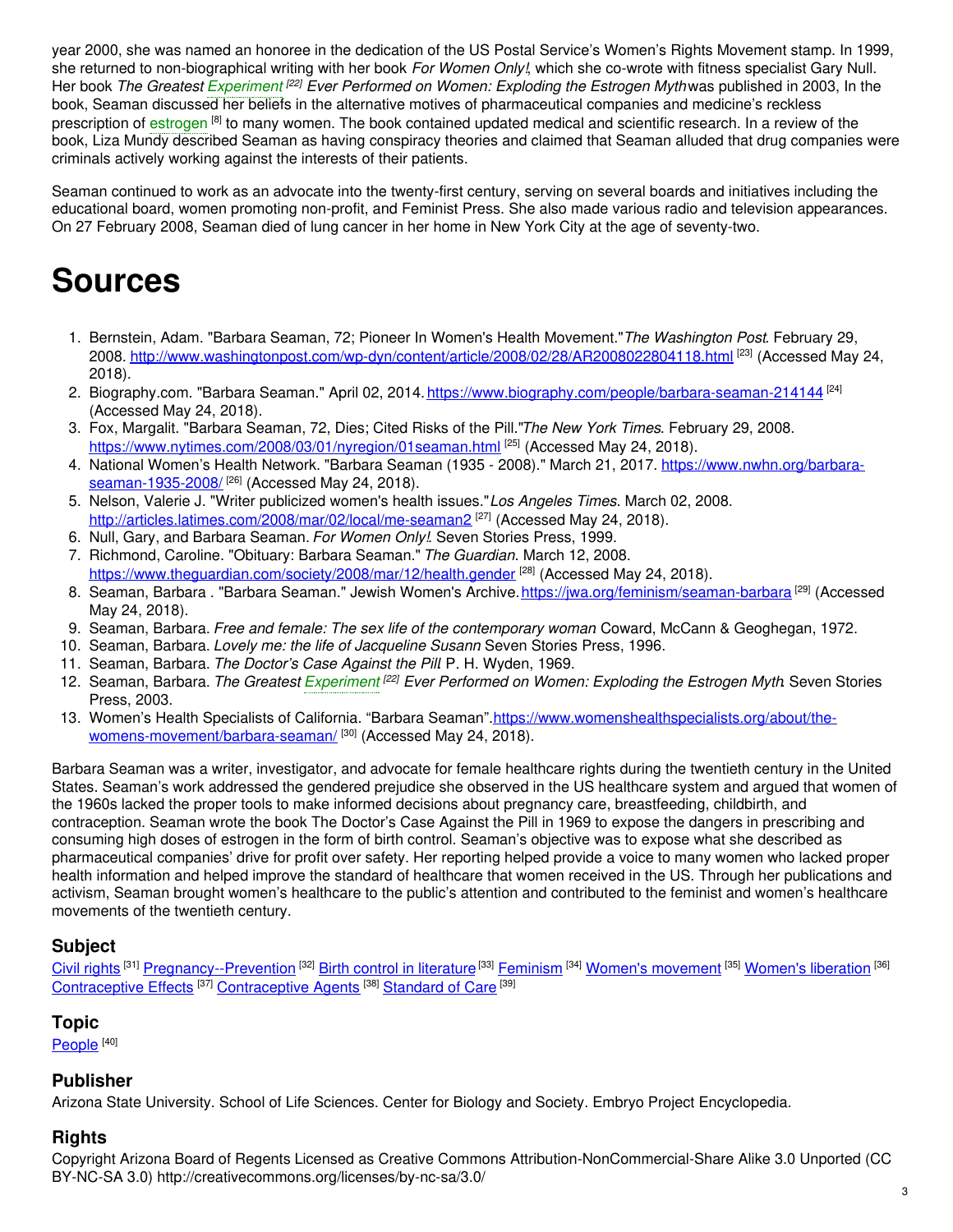year 2000, she was named an honoree in the dedication of the US Postal Service's Women's Rights Movement stamp. In 1999, she returned to non-biographical writing with her book *For Women Only!*, which she co-wrote with fitness specialist Gary Null. Her book *The Greatest [Experiment](https://embryo.asu.edu/search?text=Experiment) [22] Ever Performed on Women: Exploding the Estrogen Myth*was published in 2003, In the book, Seaman discussed her beliefs in the alternative motives of pharmaceutical companies and medicine's reckless prescription of [estrogen](https://embryo.asu.edu/search?text=estrogen) <sup>[8]</sup> to many women. The book contained updated medical and scientific research. In a review of the book, Liza Mundy described Seaman as having conspiracy theories and claimed that Seaman alluded that drug companies were criminals actively working against the interests of their patients.

Seaman continued to work as an advocate into the twenty-first century, serving on several boards and initiatives including the educational board, women promoting non-profit, and Feminist Press. She also made various radio and television appearances. On 27 February 2008, Seaman died of lung cancer in her home in New York City at the age of seventy-two.

## **Sources**

- 1. Bernstein, Adam. "Barbara Seaman, 72; Pioneer In Women's Health Movement."*The Washington Post*. February 29, 2008. <u><http://www.washingtonpost.com/wp-dyn/content/article/2008/02/28/AR2008022804118.html></u> <sup>[23]</sup> (Accessed May 24, 2018).
- 2. Biography.com. "Barbara Seaman." April 02, 2014. <u><https://www.biography.com/people/barbara-seaman-214144></u> <sup>[24]</sup> (Accessed May 24, 2018).
- 3. Fox, Margalit. "Barbara Seaman, 72, Dies; Cited Risks of the Pill."*The New York Times*. February 29, 2008. <https://www.nytimes.com/2008/03/01/nyregion/01seaman.html> [25] (Accessed May 24, 2018).
- 4. National Women's Health Network. "Barbara Seaman (1935 2008)." March 21, 2017. [https://www.nwhn.org/barbara](https://www.nwhn.org/barbara-seaman-1935-2008/)seaman-1935-2008/<sup>[26]</sup> (Accessed May 24, 2018).
- 5. Nelson, Valerie J. "Writer publicized women's health issues."*Los Angeles Times*. March 02, 2008. <http://articles.latimes.com/2008/mar/02/local/me-seaman2><sup>[27]</sup> (Accessed May 24, 2018).
- 6. Null, Gary, and Barbara Seaman. *For Women Only!*. Seven Stories Press, 1999.
- 7. Richmond, Caroline. "Obituary: Barbara Seaman." *The Guardian*. March 12, 2008. <https://www.theguardian.com/society/2008/mar/12/health.gender> <sup>[28]</sup> (Accessed May 24, 2018).
- 8. Seaman, Barbara . "Barbara Seaman." Jewish Women's Archive.<u>https://jwa.org/feminism/seaman-barbara</u> <sup>[29]</sup> (Accessed May 24, 2018).
- 9. Seaman, Barbara. *Free and female: The sex life of the contemporary woman*. Coward, McCann & Geoghegan, 1972.
- 10. Seaman, Barbara. *Lovely me: the life of Jacqueline Susann*. Seven Stories Press, 1996.
- 11. Seaman, Barbara. *The Doctor's Case Against the Pill*. P. H. Wyden, 1969.
- 12. Seaman, Barbara. *The Greatest [Experiment](https://embryo.asu.edu/search?text=Experiment) [22] Ever Performed on Women: Exploding the Estrogen Myth*. Seven Stories Press, 2003.
- 13. Women's Health Specialists of California. "Barbara [Seaman".https://www.womenshealthspecialists.org/about/the](https://www.womenshealthspecialists.org/about/the-womens-movement/barbara-seaman/)womens-movement/barbara-seaman/ [30] (Accessed May 24, 2018).

Barbara Seaman was a writer, investigator, and advocate for female healthcare rights during the twentieth century in the United States. Seaman's work addressed the gendered prejudice she observed in the US healthcare system and argued that women of the 1960s lacked the proper tools to make informed decisions about pregnancy care, breastfeeding, childbirth, and contraception. Seaman wrote the book The Doctor's Case Against the Pill in 1969 to expose the dangers in prescribing and consuming high doses of estrogen in the form of birth control. Seaman's objective was to expose what she described as pharmaceutical companies' drive for profit over safety. Her reporting helped provide a voice to many women who lacked proper health information and helped improve the standard of healthcare that women received in the US. Through her publications and activism, Seaman brought women's healthcare to the public's attention and contributed to the feminist and women's healthcare movements of the twentieth century.

#### **Subject**

Civil [rights](https://embryo.asu.edu/library-congress-subject-headings/civil-rights) <sup>[31]</sup> [Pregnancy--Prevention](https://embryo.asu.edu/library-congress-subject-headings/pregnancy-prevention) <sup>[32]</sup> Birth control in [literature](https://embryo.asu.edu/library-congress-subject-headings/birth-control-literature)<sup>[33]</sup> [Feminism](https://embryo.asu.edu/library-congress-subject-headings/feminism) <sup>[34]</sup> Women's [movement](https://embryo.asu.edu/library-congress-subject-headings/womens-movement) <sup>[35]</sup> [Women's](https://embryo.asu.edu/library-congress-subject-headings/womens-liberation) liberation <sup>[36]</sup> [Contraceptive](https://embryo.asu.edu/medical-subject-headings/contraceptive-agents) Effects<sup>[37]</sup> Contraceptive Agents<sup>[38]</sup> [Standard](https://embryo.asu.edu/medical-subject-headings/standard-care) of Care<sup>[39]</sup>

#### **Topic**

<u>[People](https://embryo.asu.edu/topics/people)  $^{[40]}$ </u>

#### **Publisher**

Arizona State University. School of Life Sciences. Center for Biology and Society. Embryo Project Encyclopedia.

#### **Rights**

Copyright Arizona Board of Regents Licensed as Creative Commons Attribution-NonCommercial-Share Alike 3.0 Unported (CC BY-NC-SA 3.0) http://creativecommons.org/licenses/by-nc-sa/3.0/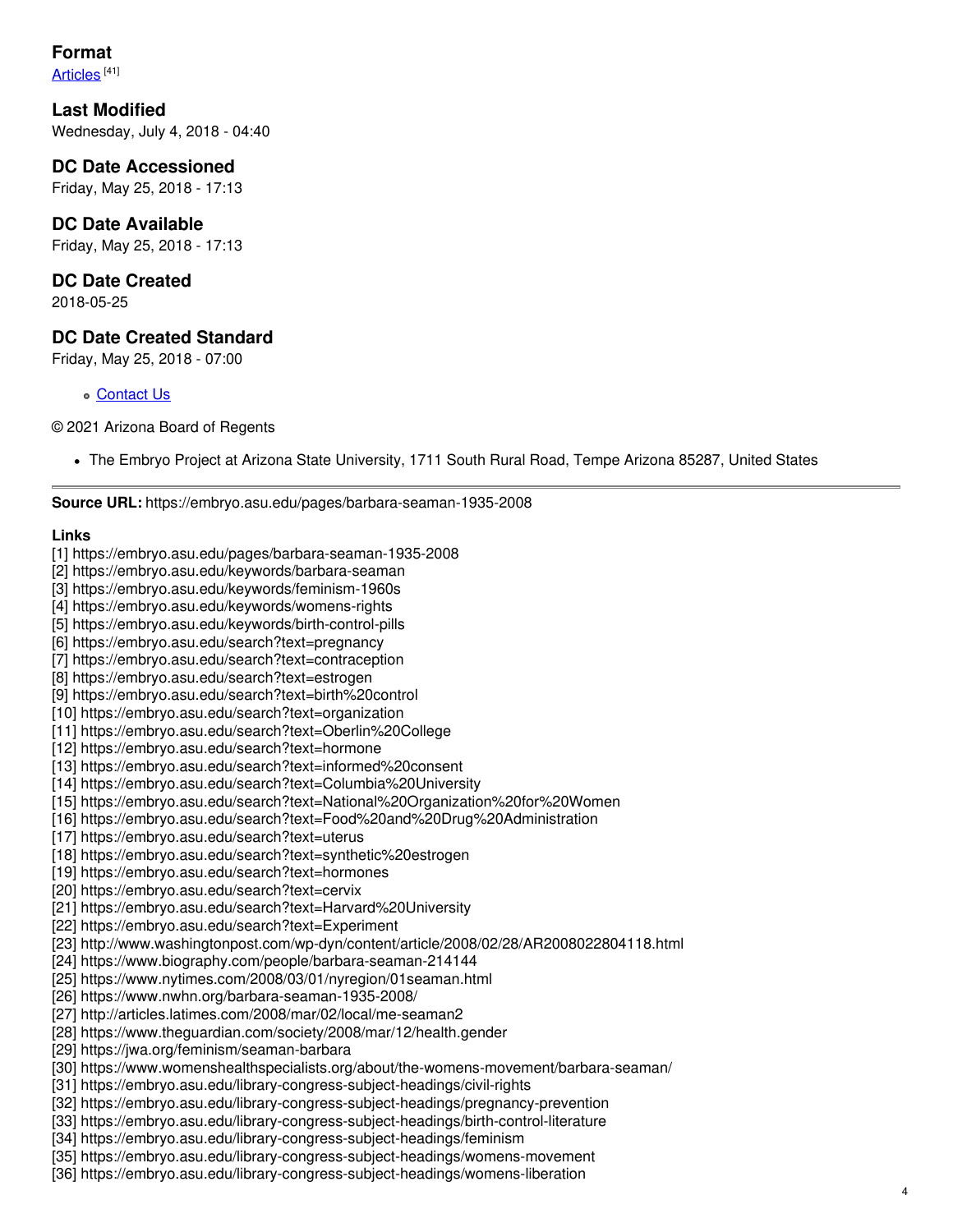### **Format**

<u>[Articles](https://embryo.asu.edu/formats/articles)</u> <sup>[41]</sup>

**Last Modified** Wednesday, July 4, 2018 - 04:40

**DC Date Accessioned** Friday, May 25, 2018 - 17:13

**DC Date Available** Friday, May 25, 2018 - 17:13

**DC Date Created** 2018-05-25

#### **DC Date Created Standard**

Friday, May 25, 2018 - 07:00

[Contact](https://embryo.asu.edu/contact) Us

© 2021 Arizona Board of Regents

The Embryo Project at Arizona State University, 1711 South Rural Road, Tempe Arizona 85287, United States

**Source URL:** https://embryo.asu.edu/pages/barbara-seaman-1935-2008

#### **Links**

- [1] https://embryo.asu.edu/pages/barbara-seaman-1935-2008
- [2] https://embryo.asu.edu/keywords/barbara-seaman
- [3] https://embryo.asu.edu/keywords/feminism-1960s
- [4] https://embryo.asu.edu/keywords/womens-rights
- [5] https://embryo.asu.edu/keywords/birth-control-pills
- [6] https://embryo.asu.edu/search?text=pregnancy
- [7] https://embryo.asu.edu/search?text=contraception
- [8] https://embryo.asu.edu/search?text=estrogen
- [9] https://embryo.asu.edu/search?text=birth%20control
- [10] https://embryo.asu.edu/search?text=organization
- [11] https://embryo.asu.edu/search?text=Oberlin%20College
- [12] https://embryo.asu.edu/search?text=hormone
- [13] https://embryo.asu.edu/search?text=informed%20consent
- [14] https://embryo.asu.edu/search?text=Columbia%20University
- [15] https://embryo.asu.edu/search?text=National%20Organization%20for%20Women
- [16] https://embryo.asu.edu/search?text=Food%20and%20Drug%20Administration
- [17] https://embryo.asu.edu/search?text=uterus
- [18] https://embryo.asu.edu/search?text=synthetic%20estrogen
- [19] https://embryo.asu.edu/search?text=hormones
- [20] https://embryo.asu.edu/search?text=cervix
- [21] https://embryo.asu.edu/search?text=Harvard%20University
- [22] https://embryo.asu.edu/search?text=Experiment
- [23] http://www.washingtonpost.com/wp-dyn/content/article/2008/02/28/AR2008022804118.html
- [24] https://www.biography.com/people/barbara-seaman-214144
- [25] https://www.nytimes.com/2008/03/01/nyregion/01seaman.html
- [26] https://www.nwhn.org/barbara-seaman-1935-2008/
- [27] http://articles.latimes.com/2008/mar/02/local/me-seaman2
- [28] https://www.theguardian.com/society/2008/mar/12/health.gender
- [29] https://jwa.org/feminism/seaman-barbara
- [30] https://www.womenshealthspecialists.org/about/the-womens-movement/barbara-seaman/
- [31] https://embryo.asu.edu/library-congress-subject-headings/civil-rights
- [32] https://embryo.asu.edu/library-congress-subject-headings/pregnancy-prevention
- [33] https://embryo.asu.edu/library-congress-subject-headings/birth-control-literature
- [34] https://embryo.asu.edu/library-congress-subject-headings/feminism
- [35] https://embryo.asu.edu/library-congress-subject-headings/womens-movement
- [36] https://embryo.asu.edu/library-congress-subject-headings/womens-liberation